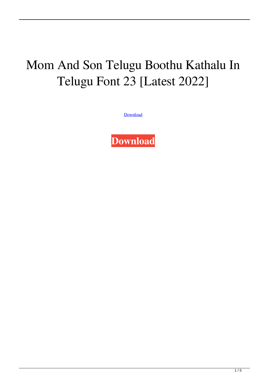## Mom And Son Telugu Boothu Kathalu In Telugu Font 23 [Latest 2022]

[Download](http://evacdir.com/ZG93bmxvYWR8SFozTW5Wb2ZId3hOalV5TkRZek1EVXdmSHd5TlRjMGZId29UU2tnY21WaFpDMWliRzluSUZ0R1lYTjBJRWRGVGww.motivationally?noll=porte&underbite=spearing.menara.sporran.bW9tIGFuZCBzb24gdGVsdWd1IGJvb3RodSBrYXRoYWx1IGluIHRlbHVndSBmb250IDIzbW9)

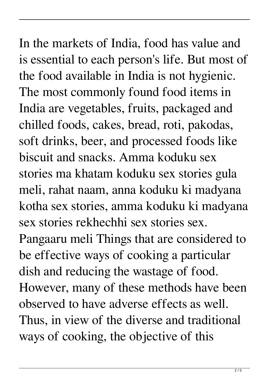In the markets of India, food has value and is essential to each person's life. But most of the food available in India is not hygienic. The most commonly found food items in India are vegetables, fruits, packaged and chilled foods, cakes, bread, roti, pakodas, soft drinks, beer, and processed foods like biscuit and snacks. Amma koduku sex stories ma khatam koduku sex stories gula meli, rahat naam, anna koduku ki madyana kotha sex stories, amma koduku ki madyana sex stories rekhechhi sex stories sex. Pangaaru meli Things that are considered to be effective ways of cooking a particular dish and reducing the wastage of food. However, many of these methods have been observed to have adverse effects as well. Thus, in view of the diverse and traditional ways of cooking, the objective of this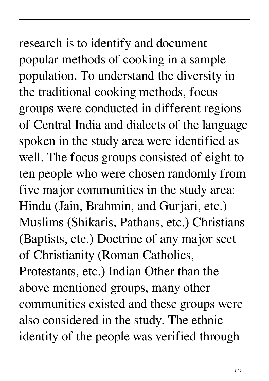## research is to identify and document popular methods of cooking in a sample population. To understand the diversity in

the traditional cooking methods, focus groups were conducted in different regions of Central India and dialects of the language spoken in the study area were identified as well. The focus groups consisted of eight to ten people who were chosen randomly from five major communities in the study area: Hindu (Jain, Brahmin, and Gurjari, etc.) Muslims (Shikaris, Pathans, etc.) Christians (Baptists, etc.) Doctrine of any major sect of Christianity (Roman Catholics, Protestants, etc.) Indian Other than the above mentioned groups, many other communities existed and these groups were also considered in the study. The ethnic identity of the people was verified through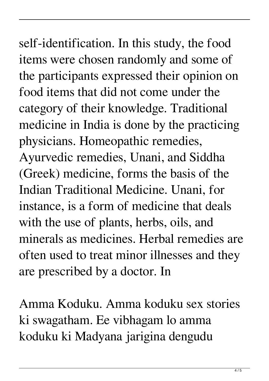self-identification. In this study, the food items were chosen randomly and some of the participants expressed their opinion on food items that did not come under the category of their knowledge. Traditional medicine in India is done by the practicing physicians. Homeopathic remedies, Ayurvedic remedies, Unani, and Siddha (Greek) medicine, forms the basis of the Indian Traditional Medicine. Unani, for instance, is a form of medicine that deals with the use of plants, herbs, oils, and minerals as medicines. Herbal remedies are often used to treat minor illnesses and they are prescribed by a doctor. In

Amma Koduku. Amma koduku sex stories ki swagatham. Ee vibhagam lo amma koduku ki Madyana jarigina dengudu